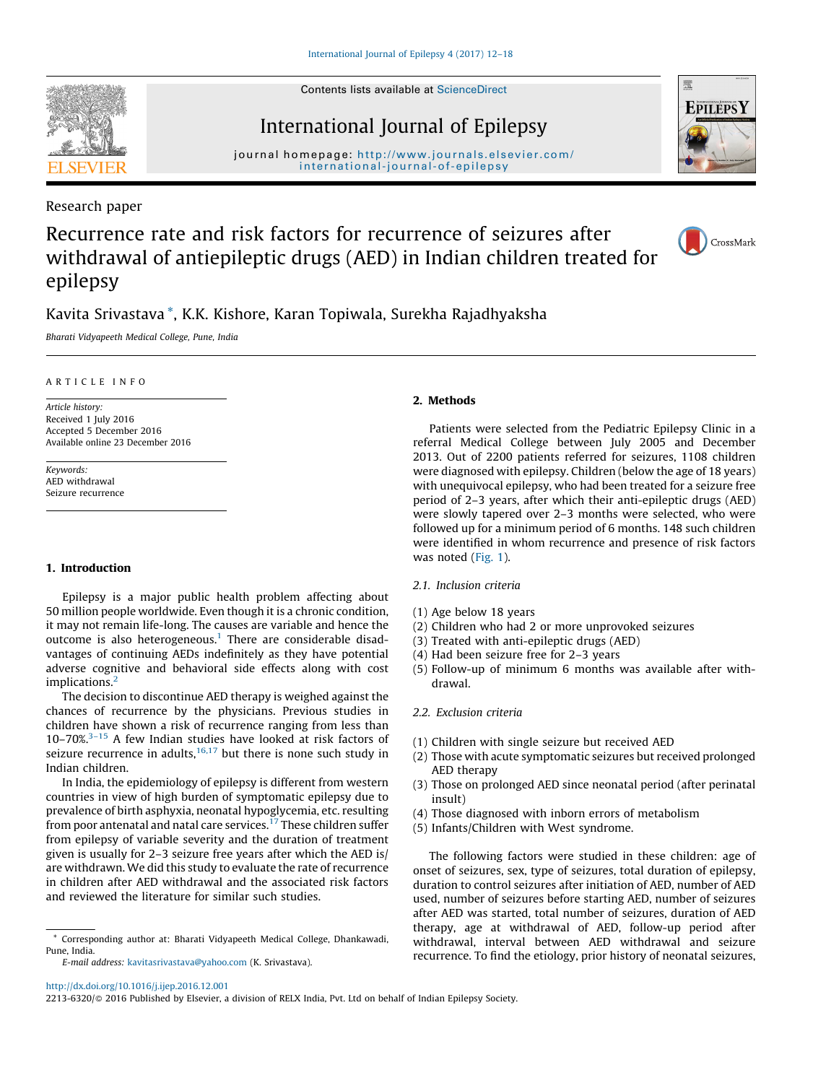Contents lists available at [ScienceDirect](http://www.sciencedirect.com/science/journal/22136320)



International Journal of Epilepsy

journal homepage: [http://www.journals.elsevier.com/](http://www.journals.elsevier.com/international-journal-of-epilepsy) [international-journal-of-epilepsy](http://www.journals.elsevier.com/international-journal-of-epilepsy)

Research paper

# **EPILEPSY**

# Recurrence rate and risk factors for recurrence of seizures after withdrawal of antiepileptic drugs (AED) in Indian children treated for epilepsy



# Kavita Srivastava \*, K.K. Kishore, Karan Topiwala, Surekha Rajadhyaksha

Bharati Vidyapeeth Medical College, Pune, India

#### ARTICLE INFO

Article history: Received 1 July 2016 Accepted 5 December 2016 Available online 23 December 2016

Keywords: AED withdrawal Seizure recurrence

#### 1. Introduction

Epilepsy is a major public health problem affecting about 50 million people worldwide. Even though it is a chronic condition, it may not remain life-long. The causes are variable and hence the outcome is also heterogeneous.<sup>1</sup> There are considerable disadvantages of continuing AEDs indefinitely as they have potential adverse cognitive and behavioral side effects along with cost implications.<sup>2</sup>

The decision to discontinue AED therapy is weighed against the chances of recurrence by the physicians. Previous studies in children have shown a risk of recurrence ranging from less than 10–70%. $3-15$  A few Indian studies have looked at risk factors of seizure recurrence in adults,  $16,17$  but there is none such study in Indian children.

In India, the epidemiology of epilepsy is different from western countries in view of high burden of symptomatic epilepsy due to prevalence of birth asphyxia, neonatal hypoglycemia, etc. resulting from poor antenatal and natal care services.<sup>17</sup> These children suffer from epilepsy of variable severity and the duration of treatment given is usually for 2–3 seizure free years after which the AED is/ are withdrawn. We did this study to evaluate the rate of recurrence in children after AED withdrawal and the associated risk factors and reviewed the literature for similar such studies.

#### 2. Methods

Patients were selected from the Pediatric Epilepsy Clinic in a referral Medical College between July 2005 and December 2013. Out of 2200 patients referred for seizures, 1108 children were diagnosed with epilepsy. Children (below the age of 18 years) with unequivocal epilepsy, who had been treated for a seizure free period of 2–3 years, after which their anti-epileptic drugs (AED) were slowly tapered over 2–3 months were selected, who were followed up for a minimum period of 6 months. 148 such children were identified in whom recurrence and presence of risk factors was noted [\(Fig. 1](#page-1-0)).

- 2.1. Inclusion criteria
- (1) Age below 18 years
- (2) Children who had 2 or more unprovoked seizures
- (3) Treated with anti-epileptic drugs (AED)
- (4) Had been seizure free for 2–3 years
- (5) Follow-up of minimum 6 months was available after withdrawal.

## 2.2. Exclusion criteria

- (1) Children with single seizure but received AED
- (2) Those with acute symptomatic seizures but received prolonged AED therapy
- (3) Those on prolonged AED since neonatal period (after perinatal insult)
- (4) Those diagnosed with inborn errors of metabolism
- (5) Infants/Children with West syndrome.

The following factors were studied in these children: age of onset of seizures, sex, type of seizures, total duration of epilepsy, duration to control seizures after initiation of AED, number of AED used, number of seizures before starting AED, number of seizures after AED was started, total number of seizures, duration of AED therapy, age at withdrawal of AED, follow-up period after withdrawal, interval between AED withdrawal and seizure recurrence. To find the etiology, prior history of neonatal seizures,

2213-6320/© 2016 Published by Elsevier, a division of RELX India, Pvt. Ltd on behalf of Indian Epilepsy Society.

<sup>\*</sup> Corresponding author at: Bharati Vidyapeeth Medical College, Dhankawadi, Pune, India.

E-mail address: [kavitasrivastava@yahoo.com](mailto:kavitasrivastava@yahoo.com) (K. Srivastava).

<http://dx.doi.org/10.1016/j.ijep.2016.12.001>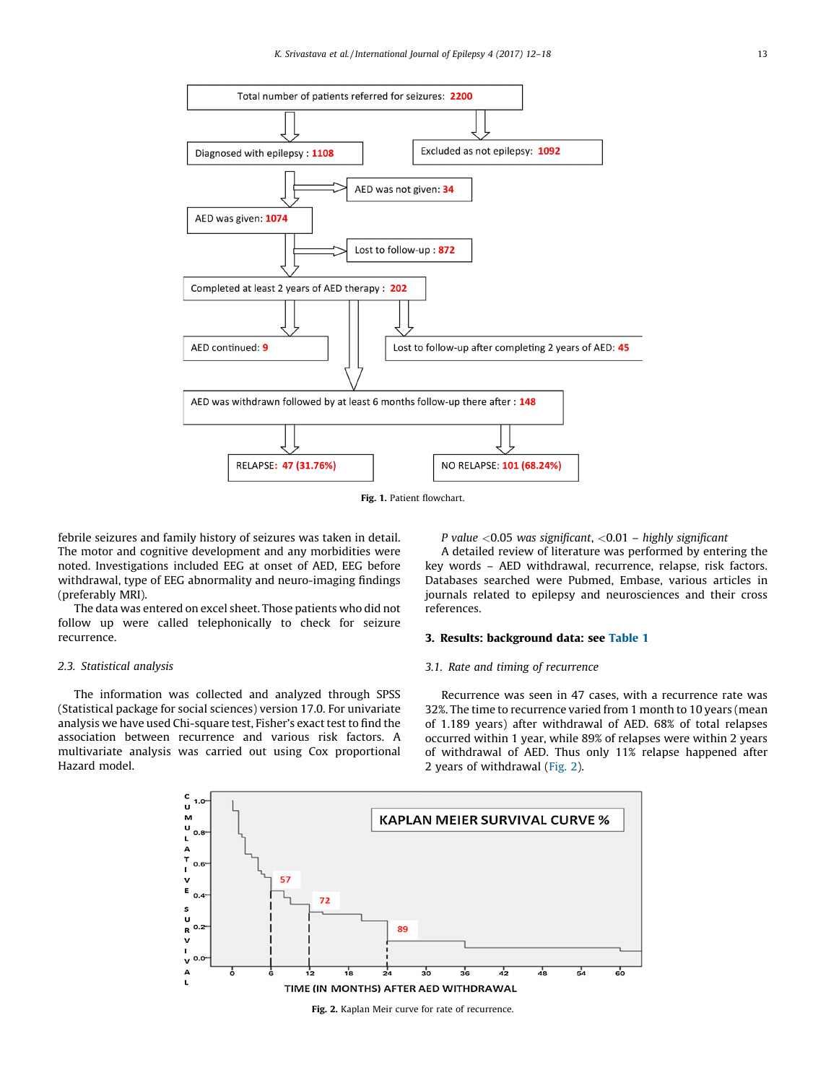<span id="page-1-0"></span>

Fig. 1. Patient flowchart.

febrile seizures and family history of seizures was taken in detail. The motor and cognitive development and any morbidities were noted. Investigations included EEG at onset of AED, EEG before withdrawal, type of EEG abnormality and neuro-imaging findings (preferably MRI).

The data was entered on excel sheet. Those patients who did not follow up were called telephonically to check for seizure recurrence.

#### 2.3. Statistical analysis

The information was collected and analyzed through SPSS (Statistical package for social sciences) version 17.0. For univariate analysis we have used Chi-square test, Fisher's exact test to find the association between recurrence and various risk factors. A multivariate analysis was carried out using Cox proportional Hazard model.

P value  $<$  0.05 was significant,  $<$  0.01 – highly significant

A detailed review of literature was performed by entering the key words – AED withdrawal, recurrence, relapse, risk factors. Databases searched were Pubmed, Embase, various articles in journals related to epilepsy and neurosciences and their cross references.

#### 3. Results: background data: see [Table 1](#page-2-0)

#### 3.1. Rate and timing of recurrence

Recurrence was seen in 47 cases, with a recurrence rate was 32%. The time to recurrence varied from 1 month to 10 years (mean of 1.189 years) after withdrawal of AED. 68% of total relapses occurred within 1 year, while 89% of relapses were within 2 years of withdrawal of AED. Thus only 11% relapse happened after 2 years of withdrawal (Fig. 2).



Fig. 2. Kaplan Meir curve for rate of recurrence.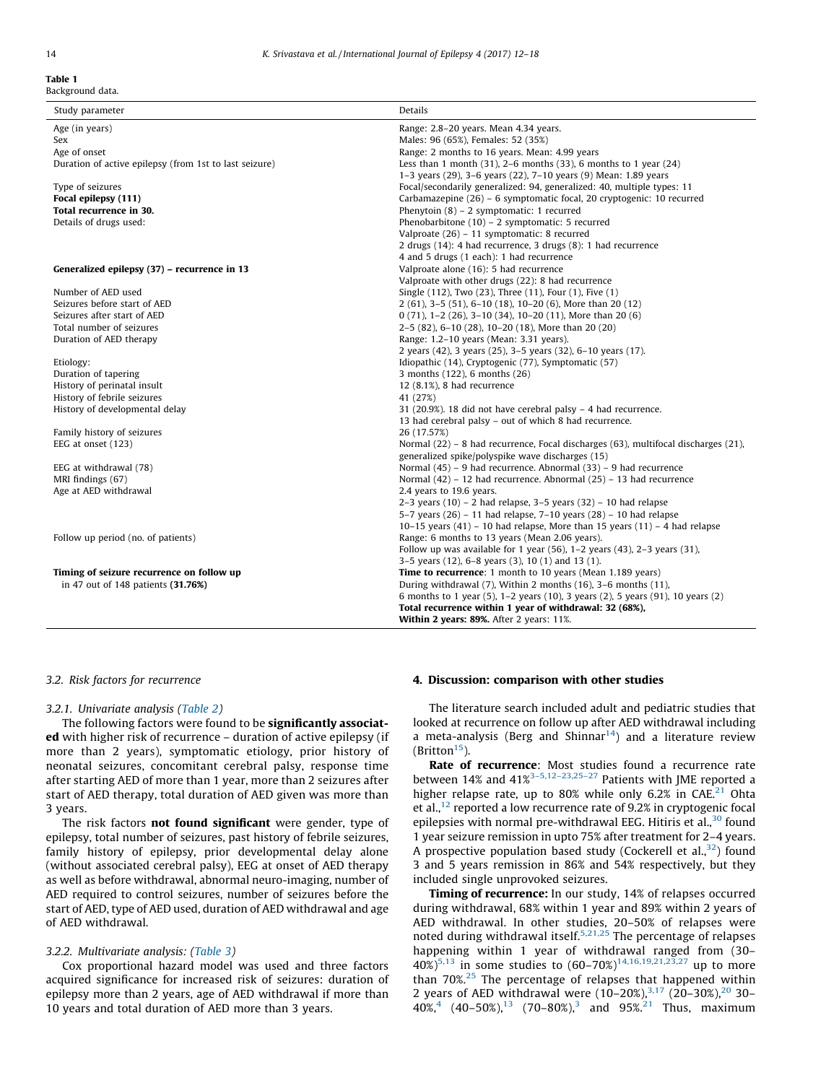#### <span id="page-2-0"></span>Table 1 Background data.

| Age (in years)                                         | Range: 2.8–20 years. Mean 4.34 years.     |
|--------------------------------------------------------|-------------------------------------------|
| Sex                                                    | Males: 96 (65%). Females: 52 (35%)        |
| Age of onset                                           | Range: 2 months to 16 years, Mean: 4      |
| Duration of active epilepsy (from 1st to last seizure) | Less than 1 month $(31)$ , 2–6 months $($ |

Study parameter **Details** 

#### Generalized epilepsy (37) – recurren

#### 3.2. Risk factors for recurrence

#### 3.2.1. Univariate analysis [\(Table 2](#page-3-0))

The following factors were found to be significantly associated with higher risk of recurrence – duration of active epilepsy (if more than 2 years), symptomatic etiology, prior history of neonatal seizures, concomitant cerebral palsy, response time after starting AED of more than 1 year, more than 2 seizures after start of AED therapy, total duration of AED given was more than 3 years.

The risk factors **not found significant** were gender, type of epilepsy, total number of seizures, past history of febrile seizures, family history of epilepsy, prior developmental delay alone (without associated cerebral palsy), EEG at onset of AED therapy as well as before withdrawal, abnormal neuro-imaging, number of AED required to control seizures, number of seizures before the start of AED, type of AED used, duration of AED withdrawal and age of AED withdrawal.

#### 3.2.2. Multivariate analysis: ([Table 3\)](#page-3-0)

Cox proportional hazard model was used and three factors acquired significance for increased risk of seizures: duration of epilepsy more than 2 years, age of AED withdrawal if more than 10 years and total duration of AED more than 3 years.

#### 4. Discussion: comparison with other studies

The literature search included adult and pediatric studies that looked at recurrence on follow up after AED withdrawal including a meta-analysis (Berg and Shinnar<sup>14</sup>) and a literature review (Britton<sup>15</sup>).

Rate of recurrence: Most studies found a recurrence rate between 14% and  $41\%^{3-5,12-23,25-27}$  Patients with JME reported a higher relapse rate, up to 80% while only 6.2% in CAE.<sup>21</sup> Ohta et al.,<sup>[12](#page-5-0)</sup> reported a low recurrence rate of 9.2% in cryptogenic focal epilepsies with normal pre-withdrawal EEG. Hitiris et al.,<sup>[30](#page-5-0)</sup> found 1 year seizure remission in upto 75% after treatment for 2–4 years. A prospective population based study (Cockerell et al.,  $32$ ) found 3 and 5 years remission in 86% and 54% respectively, but they included single unprovoked seizures.

**Timing of recurrence:** In our study, 14% of relapses occurred during withdrawal, 68% within 1 year and 89% within 2 years of AED withdrawal. In other studies, 20–50% of relapses were noted during withdrawal itself.<sup>[5,21,25](#page-5-0)</sup> The percentage of relapses happening within 1 year of withdrawal ranged from (30– 40%)<sup>[5,13](#page-5-0)</sup> in some studies to  $(60-70%)^{14,16,19,21,23,27}$  $(60-70%)^{14,16,19,21,23,27}$  $(60-70%)^{14,16,19,21,23,27}$  up to more than 70%.[25](#page-5-0) The percentage of relapses that happened within 2 years of AED withdrawal were  $(10-20\%)^{3,17}$  $(10-20\%)^{3,17}$  $(10-20\%)^{3,17}$   $(20-30\%)^{20}$  $(20-30\%)^{20}$  $(20-30\%)^{20}$  30-[4](#page-5-0)0%,<sup>4</sup> (40–50%),<sup>[13](#page-5-0)</sup> (70–80%),<sup>[3](#page-5-0)</sup> and 95%.<sup>[21](#page-5-0)</sup> Thus, maximum

| Age of onset                                           | Range: 2 months to 16 years. Mean: 4.99 years                                                                                                  |  |  |
|--------------------------------------------------------|------------------------------------------------------------------------------------------------------------------------------------------------|--|--|
| Duration of active epilepsy (from 1st to last seizure) | Less than 1 month $(31)$ , 2–6 months $(33)$ , 6 months to 1 year $(24)$                                                                       |  |  |
|                                                        | 1-3 years (29), 3-6 years (22), 7-10 years (9) Mean: 1.89 years                                                                                |  |  |
| Type of seizures                                       | Focal/secondarily generalized: 94, generalized: 40, multiple types: 11                                                                         |  |  |
| Focal epilepsy (111)                                   | Carbamazepine (26) - 6 symptomatic focal, 20 cryptogenic: 10 recurred                                                                          |  |  |
| Total recurrence in 30.                                | Phenytoin $(8)$ – 2 symptomatic: 1 recurred                                                                                                    |  |  |
| Details of drugs used:                                 | Phenobarbitone $(10)$ – 2 symptomatic: 5 recurred                                                                                              |  |  |
|                                                        | Valproate (26) - 11 symptomatic: 8 recurred                                                                                                    |  |  |
|                                                        | 2 drugs (14): 4 had recurrence, 3 drugs (8): 1 had recurrence                                                                                  |  |  |
|                                                        | 4 and 5 drugs (1 each): 1 had recurrence                                                                                                       |  |  |
| Generalized epilepsy (37) – recurrence in 13           | Valproate alone (16): 5 had recurrence                                                                                                         |  |  |
|                                                        | Valproate with other drugs (22): 8 had recurrence                                                                                              |  |  |
| Number of AED used                                     | Single (112), Two (23), Three (11), Four (1), Five (1)                                                                                         |  |  |
| Seizures before start of AED                           | 2 (61), 3-5 (51), 6-10 (18), 10-20 (6), More than 20 (12)                                                                                      |  |  |
| Seizures after start of AED                            | $0(71)$ , 1-2 (26), 3-10 (34), 10-20 (11), More than 20 (6)                                                                                    |  |  |
| Total number of seizures                               | 2-5 (82), 6-10 (28), 10-20 (18), More than 20 (20)                                                                                             |  |  |
| Duration of AED therapy                                | Range: 1.2-10 years (Mean: 3.31 years).                                                                                                        |  |  |
|                                                        | 2 years (42), 3 years (25), 3-5 years (32), 6-10 years (17).                                                                                   |  |  |
| Etiology:                                              | Idiopathic (14), Cryptogenic (77), Symptomatic (57)                                                                                            |  |  |
| Duration of tapering                                   | 3 months (122), 6 months (26)                                                                                                                  |  |  |
| History of perinatal insult                            | $12(8.1\%)$ , 8 had recurrence                                                                                                                 |  |  |
| History of febrile seizures                            | 41 (27%)                                                                                                                                       |  |  |
| History of developmental delay                         | 31 (20.9%). 18 did not have cerebral palsy - 4 had recurrence.                                                                                 |  |  |
|                                                        | 13 had cerebral palsy - out of which 8 had recurrence.                                                                                         |  |  |
| Family history of seizures                             | 26 (17.57%)                                                                                                                                    |  |  |
| EEG at onset (123)                                     | Normal $(22)$ – 8 had recurrence, Focal discharges $(63)$ , multifocal discharges $(21)$ ,<br>generalized spike/polyspike wave discharges (15) |  |  |
| EEG at withdrawal (78)                                 | Normal (45) – 9 had recurrence. Abnormal (33) – 9 had recurrence                                                                               |  |  |
| MRI findings (67)                                      | Normal (42) - 12 had recurrence. Abnormal (25) - 13 had recurrence                                                                             |  |  |
| Age at AED withdrawal                                  | 2.4 years to 19.6 years.                                                                                                                       |  |  |
|                                                        | 2-3 years $(10)$ – 2 had relapse, 3-5 years $(32)$ – 10 had relapse                                                                            |  |  |
|                                                        | 5–7 years $(26)$ – 11 had relapse, 7–10 years $(28)$ – 10 had relapse                                                                          |  |  |
|                                                        | 10-15 years $(41)$ – 10 had relapse, More than 15 years $(11)$ – 4 had relapse                                                                 |  |  |
| Follow up period (no. of patients)                     | Range: 6 months to 13 years (Mean 2.06 years).                                                                                                 |  |  |
|                                                        | Follow up was available for 1 year (56), $1-2$ years (43), $2-3$ years (31),                                                                   |  |  |
|                                                        | $3-5$ years (12), 6-8 years (3), 10 (1) and 13 (1).                                                                                            |  |  |
| Timing of seizure recurrence on follow up              | <b>Time to recurrence:</b> 1 month to 10 years (Mean 1.189 years)                                                                              |  |  |
| in 47 out of 148 patients (31.76%)                     | During withdrawal (7), Within 2 months (16), 3-6 months (11),                                                                                  |  |  |
|                                                        | 6 months to 1 year (5), 1–2 years (10), 3 years (2), 5 years (91), 10 years (2)                                                                |  |  |
|                                                        | Total recurrence within 1 year of withdrawal: 32 (68%),                                                                                        |  |  |
|                                                        | Within 2 years: 89%. After 2 years: 11%.                                                                                                       |  |  |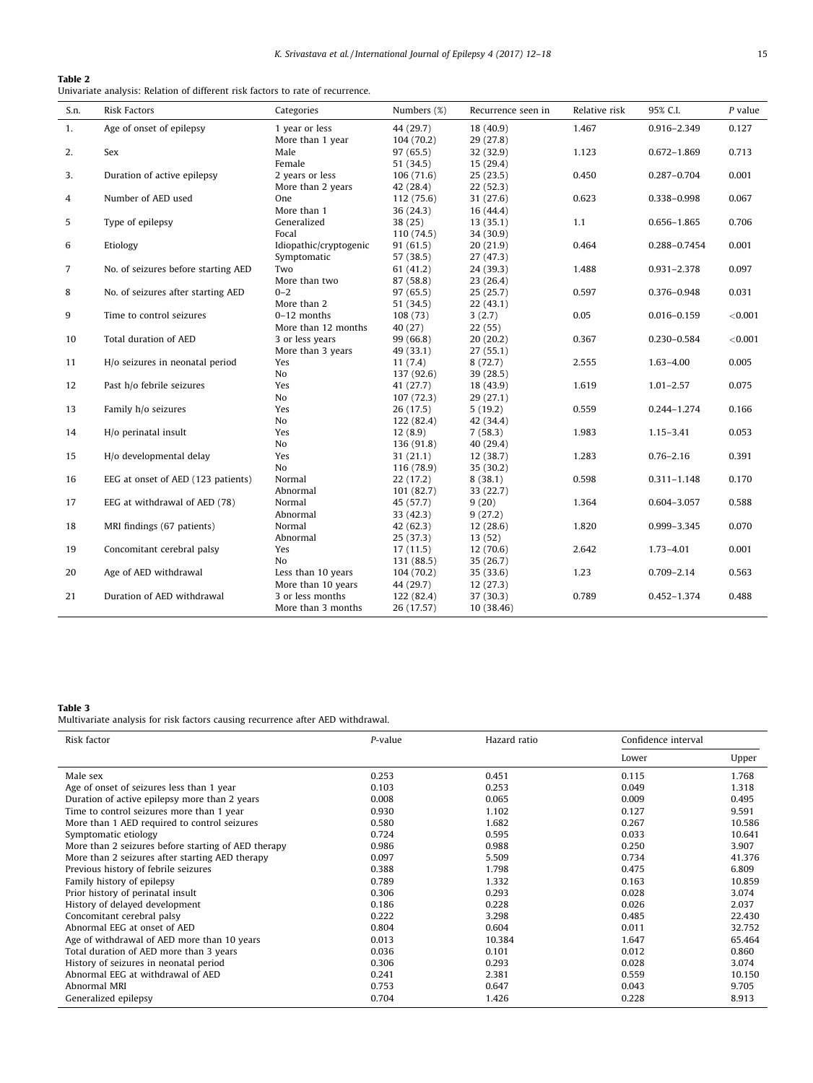#### <span id="page-3-0"></span>Table 2

Univariate analysis: Relation of different risk factors to rate of recurrence.

| S.n.           | <b>Risk Factors</b>                 | Categories               | Numbers (%)             | Recurrence seen in    | Relative risk | 95% C.I.        | $P$ value |
|----------------|-------------------------------------|--------------------------|-------------------------|-----------------------|---------------|-----------------|-----------|
| 1.             | Age of onset of epilepsy            | 1 year or less           | 44 (29.7)               | 18(40.9)              | 1.467         | 0.916-2.349     | 0.127     |
| 2.             | Sex                                 | More than 1 year<br>Male | 104(70.2)<br>97(65.5)   | 29(27.8)<br>32 (32.9) | 1.123         | $0.672 - 1.869$ | 0.713     |
|                |                                     | Female                   | 51 (34.5)               | 15 (29.4)             |               |                 |           |
| 3.             | Duration of active epilepsy         | 2 years or less          | 106(71.6)               | 25(23.5)              | 0.450         | 0.287-0.704     | 0.001     |
| 4              | Number of AED used                  | More than 2 years<br>One | 42 (28.4)<br>112 (75.6) | 22(52.3)<br>31 (27.6) | 0.623         | 0.338-0.998     | 0.067     |
|                |                                     | More than 1              | 36 (24.3)               | 16(44.4)              |               |                 |           |
| 5              | Type of epilepsy                    | Generalized              | 38(25)                  | 13(35.1)              | 1,1           | 0.656-1.865     | 0.706     |
|                |                                     | Focal                    | 110 (74.5)              | 34 (30.9)             |               |                 |           |
| 6              | Etiology                            | Idiopathic/cryptogenic   | 91 (61.5)               | 20(21.9)              | 0.464         | 0.288-0.7454    | 0.001     |
|                |                                     | Symptomatic              | 57 (38.5)               | 27(47.3)              |               |                 |           |
| $\overline{7}$ | No. of seizures before starting AED | Two                      | 61 (41.2)               | 24 (39.3)             | 1.488         | 0.931-2.378     | 0.097     |
|                |                                     | More than two            | 87 (58.8)               | 23(26.4)              |               |                 |           |
| 8              | No. of seizures after starting AED  | $0 - 2$                  | 97 (65.5)               | 25(25.7)              | 0.597         | 0.376-0.948     | 0.031     |
|                |                                     | More than 2              | 51 (34.5)               | 22(43.1)              |               |                 |           |
| 9              | Time to control seizures            | $0-12$ months            | 108 (73)                | 3(2.7)                | 0.05          | $0.016 - 0.159$ | < 0.001   |
|                |                                     | More than 12 months      | 40 (27)                 | 22(55)                |               |                 |           |
| 10             | Total duration of AED               | 3 or less years          | 99 (66.8)               | 20(20.2)              | 0.367         | 0.230-0.584     | < 0.001   |
|                |                                     | More than 3 years        | 49 (33.1)               | 27(55.1)              |               |                 |           |
| 11             | H/o seizures in neonatal period     | Yes                      | 11(7.4)                 | 8(72.7)               | 2.555         | $1.63 - 4.00$   | 0.005     |
|                |                                     | No                       | 137 (92.6)              | 39 (28.5)             |               |                 |           |
| 12             | Past h/o febrile seizures           | Yes                      | 41 (27.7)               | 18 (43.9)             | 1.619         | $1.01 - 2.57$   | 0.075     |
|                |                                     | No                       | 107(72.3)               | 29(27.1)              |               |                 |           |
| 13             | Family h/o seizures                 | Yes                      | 26(17.5)                | 5(19.2)               | 0.559         | 0.244-1.274     | 0.166     |
|                |                                     | No                       | 122 (82.4)              | 42 (34.4)             |               |                 |           |
| 14             | H/o perinatal insult                | Yes                      | 12(8.9)                 | 7(58.3)               | 1.983         | $1.15 - 3.41$   | 0.053     |
|                |                                     | N <sub>o</sub>           | 136 (91.8)              | 40 (29.4)             |               |                 |           |
| 15             | H/o developmental delay             | Yes                      | 31 (21.1)               | 12(38.7)              | 1.283         | $0.76 - 2.16$   | 0.391     |
|                |                                     | No                       | 116 (78.9)              | 35(30.2)              |               |                 |           |
| 16             | EEG at onset of AED (123 patients)  | Normal                   | 22(17.2)                | 8(38.1)               | 0.598         | $0.311 - 1.148$ | 0.170     |
|                |                                     | Abnormal                 | 101 (82.7)              | 33 (22.7)             |               |                 |           |
| 17             | EEG at withdrawal of AED (78)       | Normal                   | 45 (57.7)               | 9(20)                 | 1.364         | 0.604-3.057     | 0.588     |
|                |                                     | Abnormal                 | 33 (42.3)               | 9(27.2)               |               |                 |           |
| 18             | MRI findings (67 patients)          | Normal                   | 42 (62.3)               | 12(28.6)              | 1.820         | 0.999-3.345     | 0.070     |
|                |                                     | Abnormal                 | 25(37.3)                | 13(52)                |               |                 |           |
| 19             | Concomitant cerebral palsy          | Yes                      | 17(11.5)                | 12(70.6)              | 2.642         | $1.73 - 4.01$   | 0.001     |
|                |                                     | No                       | 131 (88.5)              | 35 (26.7)             |               |                 |           |
| 20             | Age of AED withdrawal               | Less than 10 years       | 104 (70.2)              | 35 (33.6)             | 1.23          | $0.709 - 2.14$  | 0.563     |
|                |                                     | More than 10 years       | 44 (29.7)               | 12(27.3)              |               |                 |           |
| 21             | Duration of AED withdrawal          | 3 or less months         | 122 (82.4)              | 37 (30.3)             | 0.789         | $0.452 - 1.374$ | 0.488     |
|                |                                     | More than 3 months       | 26 (17.57)              | 10 (38.46)            |               |                 |           |

#### Table 3

Multivariate analysis for risk factors causing recurrence after AED withdrawal.

| Risk factor                                         | P-value | Hazard ratio | Confidence interval |        |
|-----------------------------------------------------|---------|--------------|---------------------|--------|
|                                                     |         |              | Lower               | Upper  |
| Male sex                                            | 0.253   | 0.451        | 0.115               | 1.768  |
| Age of onset of seizures less than 1 year           | 0.103   | 0.253        | 0.049               | 1.318  |
| Duration of active epilepsy more than 2 years       | 0.008   | 0.065        | 0.009               | 0.495  |
| Time to control seizures more than 1 year           | 0.930   | 1.102        | 0.127               | 9.591  |
| More than 1 AED required to control seizures        | 0.580   | 1.682        | 0.267               | 10.586 |
| Symptomatic etiology                                | 0.724   | 0.595        | 0.033               | 10.641 |
| More than 2 seizures before starting of AED therapy | 0.986   | 0.988        | 0.250               | 3.907  |
| More than 2 seizures after starting AED therapy     | 0.097   | 5.509        | 0.734               | 41.376 |
| Previous history of febrile seizures                | 0.388   | 1.798        | 0.475               | 6.809  |
| Family history of epilepsy                          | 0.789   | 1.332        | 0.163               | 10.859 |
| Prior history of perinatal insult                   | 0.306   | 0.293        | 0.028               | 3.074  |
| History of delayed development                      | 0.186   | 0.228        | 0.026               | 2.037  |
| Concomitant cerebral palsy                          | 0.222   | 3.298        | 0.485               | 22.430 |
| Abnormal EEG at onset of AED                        | 0.804   | 0.604        | 0.011               | 32.752 |
| Age of withdrawal of AED more than 10 years         | 0.013   | 10.384       | 1.647               | 65.464 |
| Total duration of AED more than 3 years             | 0.036   | 0.101        | 0.012               | 0.860  |
| History of seizures in neonatal period              | 0.306   | 0.293        | 0.028               | 3.074  |
| Abnormal EEG at withdrawal of AED                   | 0.241   | 2.381        | 0.559               | 10.150 |
| Abnormal MRI                                        | 0.753   | 0.647        | 0.043               | 9.705  |
| Generalized epilepsy                                | 0.704   | 1.426        | 0.228               | 8.913  |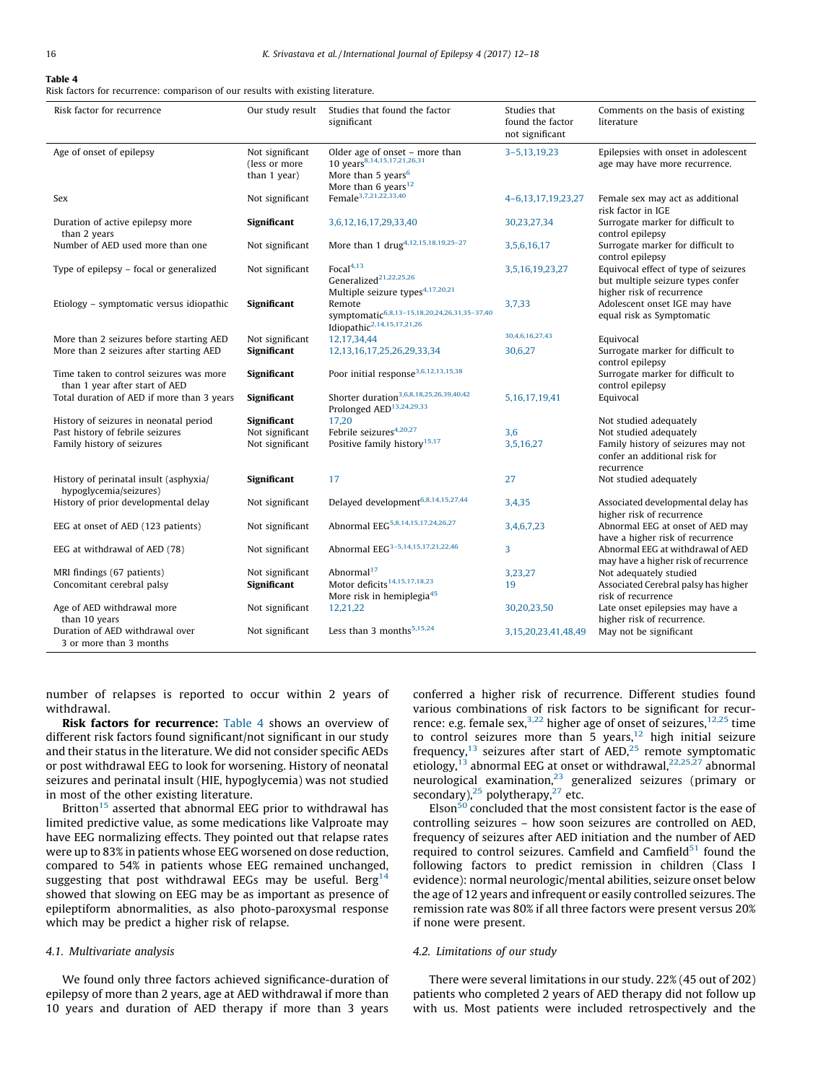## Table 4

Risk factors for recurrence: comparison of our results with existing literature.

| Risk factor for recurrence                                                | Our study result                                 | Studies that found the factor<br>significant                                                                                                   | Studies that<br>found the factor<br>not significant | Comments on the basis of existing<br>literature                                                        |
|---------------------------------------------------------------------------|--------------------------------------------------|------------------------------------------------------------------------------------------------------------------------------------------------|-----------------------------------------------------|--------------------------------------------------------------------------------------------------------|
| Age of onset of epilepsy                                                  | Not significant<br>(less or more<br>than 1 year) | Older age of onset – more than<br>10 years <sup>8,14,15,17,21,26,31</sup><br>More than 5 years <sup>6</sup><br>More than 6 years <sup>12</sup> | 3-5,13,19,23                                        | Epilepsies with onset in adolescent<br>age may have more recurrence.                                   |
| Sex                                                                       | Not significant                                  | Female <sup>3,7,21,22,33,40</sup>                                                                                                              | 4-6,13,17,19,23,27                                  | Female sex may act as additional<br>risk factor in IGE                                                 |
| Duration of active epilepsy more<br>than 2 years                          | Significant                                      | 3,6,12,16,17,29,33,40                                                                                                                          | 30,23,27,34                                         | Surrogate marker for difficult to<br>control epilepsy                                                  |
| Number of AED used more than one                                          | Not significant                                  | More than 1 drug <sup>4,12,15,18,19,25-27</sup>                                                                                                | 3,5,6,16,17                                         | Surrogate marker for difficult to<br>control epilepsy                                                  |
| Type of epilepsy - focal or generalized                                   | Not significant                                  | Focal $4,13$<br>Generalized <sup>21,22,25,26</sup><br>Multiple seizure types <sup>4,17,20,21</sup>                                             | 3,5,16,19,23,27                                     | Equivocal effect of type of seizures<br>but multiple seizure types confer<br>higher risk of recurrence |
| Etiology - symptomatic versus idiopathic                                  | Significant                                      | Remote<br>symptomatic6,8,13-15,18,20,24,26,31,35-37,40<br>Idiopathic <sup>2,14,15,17,21,26</sup>                                               | 3,7,33                                              | Adolescent onset IGE may have<br>equal risk as Symptomatic                                             |
| More than 2 seizures before starting AED                                  | Not significant                                  | 12,17,34,44                                                                                                                                    | 30,4,6,16,27,43                                     | Equivocal                                                                                              |
| More than 2 seizures after starting AED                                   | Significant                                      | 12, 13, 16, 17, 25, 26, 29, 33, 34                                                                                                             | 30,6,27                                             | Surrogate marker for difficult to<br>control epilepsy                                                  |
| Time taken to control seizures was more<br>than 1 year after start of AED | Significant                                      | Poor initial response <sup>3,6,12,13,15,38</sup>                                                                                               |                                                     | Surrogate marker for difficult to<br>control epilepsy                                                  |
| Total duration of AED if more than 3 years                                | Significant                                      | Shorter duration <sup>3,6,8,18,25,26,39,40,42</sup><br>Prolonged AED <sup>13,24,29,33</sup>                                                    | 5, 16, 17, 19, 41                                   | Equivocal                                                                                              |
| History of seizures in neonatal period                                    | Significant                                      | 17.20                                                                                                                                          |                                                     | Not studied adequately                                                                                 |
| Past history of febrile seizures                                          | Not significant                                  | Febrile seizures <sup>4,20,27</sup>                                                                                                            | 3,6                                                 | Not studied adequately                                                                                 |
| Family history of seizures                                                | Not significant                                  | Positive family history <sup>15,17</sup>                                                                                                       | 3,5,16,27                                           | Family history of seizures may not<br>confer an additional risk for<br>recurrence                      |
| History of perinatal insult (asphyxia/<br>hypoglycemia/seizures)          | Significant                                      | 17                                                                                                                                             | 27                                                  | Not studied adequately                                                                                 |
| History of prior developmental delay                                      | Not significant                                  | Delayed development <sup>6,8,14,15,27,44</sup>                                                                                                 | 3,4,35                                              | Associated developmental delay has<br>higher risk of recurrence                                        |
| EEG at onset of AED (123 patients)                                        | Not significant                                  | Abnormal EEG <sup>5,8,14,15,17,24,26,27</sup>                                                                                                  | 3,4,6,7,23                                          | Abnormal EEG at onset of AED may<br>have a higher risk of recurrence                                   |
| EEG at withdrawal of AED (78)                                             | Not significant                                  | Abnormal EEG <sup>3-5,14,15,17,21,22,46</sup>                                                                                                  | 3                                                   | Abnormal EEG at withdrawal of AED<br>may have a higher risk of recurrence                              |
| MRI findings (67 patients)<br>Concomitant cerebral palsy                  | Not significant<br>Significant                   | Abnormal <sup>17</sup><br>Motor deficits <sup>14,15,17,18,23</sup><br>More risk in hemiplegia <sup>45</sup>                                    | 3,23,27<br>19                                       | Not adequately studied<br>Associated Cerebral palsy has higher<br>risk of recurrence                   |
| Age of AED withdrawal more<br>than 10 years                               | Not significant                                  | 12,21,22                                                                                                                                       | 30,20,23,50                                         | Late onset epilepsies may have a<br>higher risk of recurrence.                                         |
| Duration of AED withdrawal over<br>3 or more than 3 months                | Not significant                                  | Less than 3 months $5,15,24$                                                                                                                   | 3,15,20,23,41,48,49                                 | May not be significant                                                                                 |

number of relapses is reported to occur within 2 years of withdrawal.

Risk factors for recurrence: Table 4 shows an overview of different risk factors found significant/not significant in our study and their status in the literature. We did not consider specific AEDs or post withdrawal EEG to look for worsening. History of neonatal seizures and perinatal insult (HIE, hypoglycemia) was not studied in most of the other existing literature.

Britton<sup>[15](#page-5-0)</sup> asserted that abnormal EEG prior to withdrawal has limited predictive value, as some medications like Valproate may have EEG normalizing effects. They pointed out that relapse rates were up to 83% in patients whose EEG worsened on dose reduction, compared to 54% in patients whose EEG remained unchanged, suggesting that post withdrawal EEGs may be useful. Berg<sup>[14](#page-5-0)</sup> showed that slowing on EEG may be as important as presence of epileptiform abnormalities, as also photo-paroxysmal response which may be predict a higher risk of relapse.

#### 4.1. Multivariate analysis

We found only three factors achieved significance-duration of epilepsy of more than 2 years, age at AED withdrawal if more than 10 years and duration of AED therapy if more than 3 years

conferred a higher risk of recurrence. Different studies found various combinations of risk factors to be significant for recurrence: e.g. female sex,<sup>3,22</sup> higher age of onset of seizures,<sup>12,25</sup> time to control seizures more than 5 years, $12$  high initial seizure frequency, $^{13}$  $^{13}$  $^{13}$  seizures after start of AED, $^{25}$  remote symptomatic etiology,<sup>[13](#page-5-0)</sup> abnormal EEG at onset or withdrawal,<sup>22,25,27</sup> abnormal neurological examination, $23$  generalized seizures (primary or secondary), $25$  polytherapy, $27$  etc.

 $E$ lson<sup>50</sup> concluded that the most consistent factor is the ease of controlling seizures – how soon seizures are controlled on AED, frequency of seizures after AED initiation and the number of AED required to control seizures. Camfield and Camfield $51$  found the following factors to predict remission in children (Class I evidence): normal neurologic/mental abilities, seizure onset below the age of 12 years and infrequent or easily controlled seizures. The remission rate was 80% if all three factors were present versus 20% if none were present.

#### 4.2. Limitations of our study

There were several limitations in our study. 22% (45 out of 202) patients who completed 2 years of AED therapy did not follow up with us. Most patients were included retrospectively and the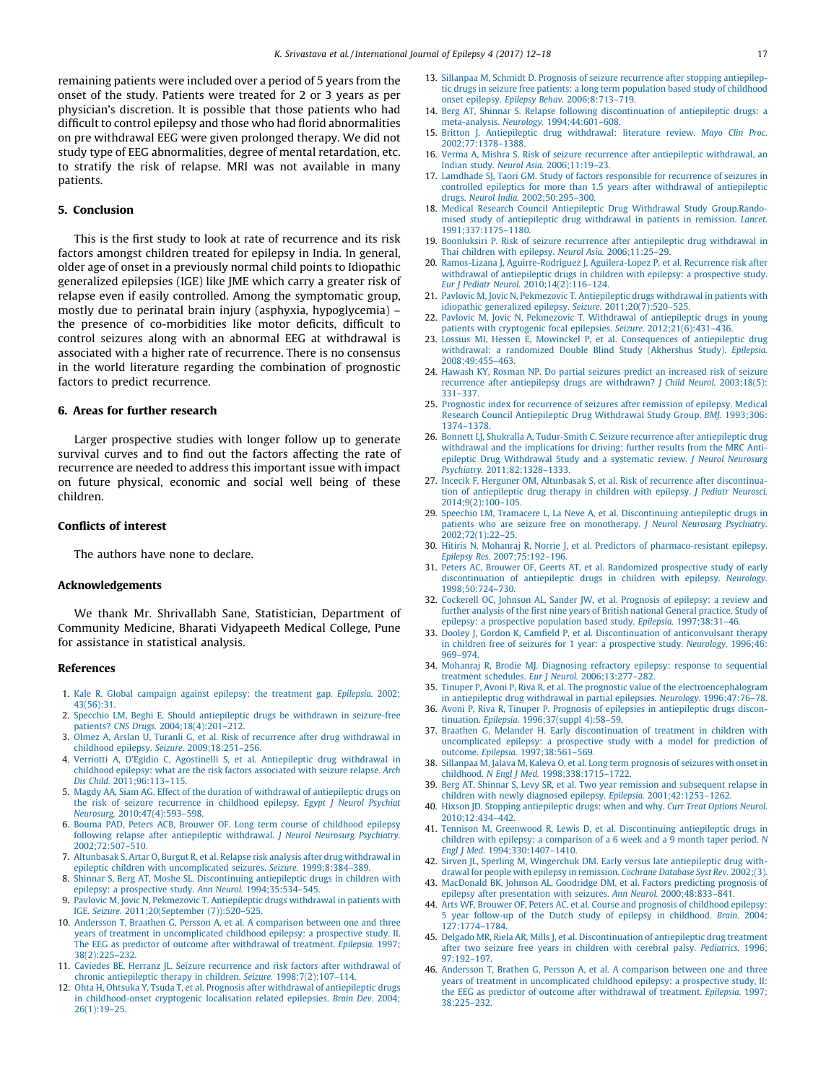<span id="page-5-0"></span>remaining patients were included over a period of 5 years from the onset of the study. Patients were treated for 2 or 3 years as per physician's discretion. It is possible that those patients who had difficult to control epilepsy and those who had florid abnormalities on pre withdrawal EEG were given prolonged therapy. We did not study type of EEG abnormalities, degree of mental retardation, etc. to stratify the risk of relapse. MRI was not available in many patients.

#### 5. Conclusion

This is the first study to look at rate of recurrence and its risk factors amongst children treated for epilepsy in India. In general, older age of onset in a previously normal child points to Idiopathic generalized epilepsies (IGE) like JME which carry a greater risk of relapse even if easily controlled. Among the symptomatic group, mostly due to perinatal brain injury (asphyxia, hypoglycemia) – the presence of co-morbidities like motor deficits, difficult to control seizures along with an abnormal EEG at withdrawal is associated with a higher rate of recurrence. There is no consensus in the world literature regarding the combination of prognostic factors to predict recurrence.

#### 6. Areas for further research

Larger prospective studies with longer follow up to generate survival curves and to find out the factors affecting the rate of recurrence are needed to address this important issue with impact on future physical, economic and social well being of these children.

#### Conflicts of interest

The authors have none to declare.

#### Acknowledgements

We thank Mr. Shrivallabh Sane, Statistician, Department of Community Medicine, Bharati Vidyapeeth Medical College, Pune for assistance in statistical analysis.

#### References

- 1. [Kale R. Global campaign against epilepsy: the treatment gap.](http://refhub.elsevier.com/S2213-6320(16)30050-1/sbref0260) Epilepsia. 2002; [43\(56\):31](http://refhub.elsevier.com/S2213-6320(16)30050-1/sbref0260).
- 2. [Specchio LM, Beghi E. Should antiepileptic drugs be withdrawn in seizure-free](http://refhub.elsevier.com/S2213-6320(16)30050-1/sbref0265) patients? CNS Drugs. [2004;18\(4\):201–212](http://refhub.elsevier.com/S2213-6320(16)30050-1/sbref0265).
- 3. [Olmez A, Arslan U, Turanli G, et al. Risk of recurrence after drug withdrawal in](http://refhub.elsevier.com/S2213-6320(16)30050-1/sbref0270) [childhood epilepsy.](http://refhub.elsevier.com/S2213-6320(16)30050-1/sbref0270) Seizure. 2009;18:251–256.
- 4. [Verriotti A, D'Egidio C, Agostinelli S, et al. Antiepileptic drug withdrawal in](http://refhub.elsevier.com/S2213-6320(16)30050-1/sbref0275) [childhood epilepsy: what are the risk factors associated with seizure relapse.](http://refhub.elsevier.com/S2213-6320(16)30050-1/sbref0275) Arch Dis Child. [2011;96:113–115.](http://refhub.elsevier.com/S2213-6320(16)30050-1/sbref0275)
- 5. [Magdy AA, Siam AG. Effect of the duration of withdrawal of antiepileptic drugs on](http://refhub.elsevier.com/S2213-6320(16)30050-1/sbref0280) [the risk of seizure recurrence in childhood epilepsy.](http://refhub.elsevier.com/S2213-6320(16)30050-1/sbref0280) Egypt J Neurol Psychiat Neurosurg. [2010;47\(4\):593–598.](http://refhub.elsevier.com/S2213-6320(16)30050-1/sbref0280)
- 6. [Bouma PAD, Peters ACB, Brouwer OF. Long term course of childhood epilepsy](http://refhub.elsevier.com/S2213-6320(16)30050-1/sbref0285) [following relapse after antiepileptic withdrawal.](http://refhub.elsevier.com/S2213-6320(16)30050-1/sbref0285) J Neurol Neurosurg Psychiatry. [2002;72:507–510.](http://refhub.elsevier.com/S2213-6320(16)30050-1/sbref0285)
- 7. [Altunbasak S, Artar O, Burgut R, et al. Relapse risk analysis after drug withdrawal in](http://refhub.elsevier.com/S2213-6320(16)30050-1/sbref0290) [epileptic children with uncomplicated seizures.](http://refhub.elsevier.com/S2213-6320(16)30050-1/sbref0290) Seizure. 1999;8:384–389.
- 8. [Shinnar S, Berg AT, Moshe SL. Discontinuing antiepileptic drugs in children with](http://refhub.elsevier.com/S2213-6320(16)30050-1/sbref0295) [epilepsy: a prospective study.](http://refhub.elsevier.com/S2213-6320(16)30050-1/sbref0295) Ann Neurol. 1994;35:534–545.
- 9. [Pavlovic M, Jovic N, Pekmezovic T. Antiepileptic drugs withdrawal in patients with](http://refhub.elsevier.com/S2213-6320(16)30050-1/sbref0300) IGE. Seizure. [2011;20\(September \(7\)\):520–525](http://refhub.elsevier.com/S2213-6320(16)30050-1/sbref0300).
- 10. [Andersson T, Braathen G, Persson A, et al. A comparison between one and three](http://refhub.elsevier.com/S2213-6320(16)30050-1/sbref0305) [years of treatment in uncomplicated childhood epilepsy: a prospective study. II.](http://refhub.elsevier.com/S2213-6320(16)30050-1/sbref0305) [The EEG as predictor of outcome after withdrawal of treatment.](http://refhub.elsevier.com/S2213-6320(16)30050-1/sbref0305) Epilepsia. 1997; [38\(2\):225–232.](http://refhub.elsevier.com/S2213-6320(16)30050-1/sbref0305)
- 11. [Caviedes BE, Herranz JL. Seizure recurrence and risk factors after withdrawal of](http://refhub.elsevier.com/S2213-6320(16)30050-1/sbref0310) [chronic antiepileptic therapy in children.](http://refhub.elsevier.com/S2213-6320(16)30050-1/sbref0310) Seizure. 1998;7(2):107–114.
- 12. [Ohta H, Ohtsuka Y, Tsuda T, et al. Prognosis after withdrawal of antiepileptic drugs](http://refhub.elsevier.com/S2213-6320(16)30050-1/sbref0315) [in childhood-onset cryptogenic localisation related epilepsies.](http://refhub.elsevier.com/S2213-6320(16)30050-1/sbref0315) Brain Dev. 2004; [26\(1\):19–25](http://refhub.elsevier.com/S2213-6320(16)30050-1/sbref0315).
- 13. [Sillanpaa M, Schmidt D. Prognosis of seizure recurrence after stopping antiepilep](http://refhub.elsevier.com/S2213-6320(16)30050-1/sbref0320)[tic drugs in seizure free patients: a long term population based study of childhood](http://refhub.elsevier.com/S2213-6320(16)30050-1/sbref0320) onset epilepsy. Epilepsy Behav. [2006;8:713–719.](http://refhub.elsevier.com/S2213-6320(16)30050-1/sbref0320)
- 14. [Berg AT, Shinnar S. Relapse following discontinuation of antiepileptic drugs: a](http://refhub.elsevier.com/S2213-6320(16)30050-1/sbref0325) meta-analysis. Neurology. [1994;44:601–608.](http://refhub.elsevier.com/S2213-6320(16)30050-1/sbref0325)
- 15. [Britton J. Antiepileptic drug withdrawal: literature review.](http://refhub.elsevier.com/S2213-6320(16)30050-1/sbref0330) Mayo Clin Proc. [2002;77:1378–1388.](http://refhub.elsevier.com/S2213-6320(16)30050-1/sbref0330)
- 16. [Verma A, Mishra S. Risk of seizure recurrence after antiepileptic withdrawal, an](http://refhub.elsevier.com/S2213-6320(16)30050-1/sbref0335) Indian study. Neurol Asia. [2006;11:19–23](http://refhub.elsevier.com/S2213-6320(16)30050-1/sbref0335).
- 17. [Lamdhade SJ, Taori GM. Study of factors responsible for recurrence of seizures in](http://refhub.elsevier.com/S2213-6320(16)30050-1/sbref0340) [controlled epileptics for more than 1.5 years after withdrawal of antiepileptic](http://refhub.elsevier.com/S2213-6320(16)30050-1/sbref0340) drugs. Neurol India. [2002;50:295–300](http://refhub.elsevier.com/S2213-6320(16)30050-1/sbref0340).
- 18. [Medical Research Council Antiepileptic Drug Withdrawal Study Group.Rando](http://refhub.elsevier.com/S2213-6320(16)30050-1/sbref0345)[mised study of antiepileptic drug withdrawal in patients in remission.](http://refhub.elsevier.com/S2213-6320(16)30050-1/sbref0345) Lancet. [1991;337:1175–1180.](http://refhub.elsevier.com/S2213-6320(16)30050-1/sbref0345)
- 19. [Boonluksiri P. Risk of seizure recurrence after antiepileptic drug withdrawal in](http://refhub.elsevier.com/S2213-6320(16)30050-1/sbref0350) [Thai children with epilepsy.](http://refhub.elsevier.com/S2213-6320(16)30050-1/sbref0350) Neurol Asia. 2006;11:25–29.
- 20. [Ramos-Lizana J, Aguirre-Rodriguez J, Aguilera-Lopez P, et al. Recurrence risk after](http://refhub.elsevier.com/S2213-6320(16)30050-1/sbref0355) [withdrawal of antiepileptic drugs in children with epilepsy: a prospective study.](http://refhub.elsevier.com/S2213-6320(16)30050-1/sbref0355) Eur J Pediatr Neurol. [2010;14\(2\):116–124](http://refhub.elsevier.com/S2213-6320(16)30050-1/sbref0355).
- 21. [Pavlovic M, Jovic N, Pekmezovic T. Antiepileptic drugs withdrawal in patients with](http://refhub.elsevier.com/S2213-6320(16)30050-1/sbref0360) [idiopathic generalized epilepsy.](http://refhub.elsevier.com/S2213-6320(16)30050-1/sbref0360) Seizure. 2011;20(7):520–525.
- 22. [Pavlovic M, Jovic N, Pekmezovic T. Withdrawal of antiepileptic drugs in young](http://refhub.elsevier.com/S2213-6320(16)30050-1/sbref0365) [patients with cryptogenic focal epilepsies.](http://refhub.elsevier.com/S2213-6320(16)30050-1/sbref0365) Seizure. 2012;21(6):431–436.
- 23. [Lossius MI, Hessen E, Mowinckel P, et al. Consequences of antiepileptic drug](http://refhub.elsevier.com/S2213-6320(16)30050-1/sbref0370) [withdrawal: a randomized Double Blind Study \(Akhershus Study\).](http://refhub.elsevier.com/S2213-6320(16)30050-1/sbref0370) Epilepsia. [2008;49:455–463](http://refhub.elsevier.com/S2213-6320(16)30050-1/sbref0370).
- 24. [Hawash KY, Rosman NP. Do partial seizures predict an increased risk of seizure](http://refhub.elsevier.com/S2213-6320(16)30050-1/sbref0375) [recurrence after antiepilepsy drugs are withdrawn?](http://refhub.elsevier.com/S2213-6320(16)30050-1/sbref0375) J Child Neurol. 2003;18(5): [331–337.](http://refhub.elsevier.com/S2213-6320(16)30050-1/sbref0375)
- 25. [Prognostic index for recurrence of seizures after remission of epilepsy. Medical](http://refhub.elsevier.com/S2213-6320(16)30050-1/sbref0380) [Research Council Antiepileptic Drug Withdrawal Study Group.](http://refhub.elsevier.com/S2213-6320(16)30050-1/sbref0380) BMJ. 1993;306: [1374–1378](http://refhub.elsevier.com/S2213-6320(16)30050-1/sbref0380).
- 26. [Bonnett LJ, Shukralla A, Tudur-Smith C. Seizure recurrence after antiepileptic drug](http://refhub.elsevier.com/S2213-6320(16)30050-1/sbref0385) [withdrawal and the implications for driving: further results from the MRC Anti](http://refhub.elsevier.com/S2213-6320(16)30050-1/sbref0385)[epileptic Drug Withdrawal Study and a systematic review.](http://refhub.elsevier.com/S2213-6320(16)30050-1/sbref0385) J Neurol Neurosurg Psychiatry. [2011;82:1328–1333.](http://refhub.elsevier.com/S2213-6320(16)30050-1/sbref0385)
- 27. [Incecik F, Herguner OM, Altunbasak S, et al. Risk of recurrence after discontinua](http://refhub.elsevier.com/S2213-6320(16)30050-1/sbref0390)[tion of antiepileptic drug therapy in children with epilepsy.](http://refhub.elsevier.com/S2213-6320(16)30050-1/sbref0390) J Pediatr Neurosci. [2014;9\(2\):100–105](http://refhub.elsevier.com/S2213-6320(16)30050-1/sbref0390).
- 29. [Speechio LM, Tramacere L, La Neve A, et al. Discontinuing antiepileptic drugs in](http://refhub.elsevier.com/S2213-6320(16)30050-1/sbref0400) [patients who are seizure free on monotherapy.](http://refhub.elsevier.com/S2213-6320(16)30050-1/sbref0400) J Neurol Neurosurg Psychiatry. [2002;72\(1\):22–25](http://refhub.elsevier.com/S2213-6320(16)30050-1/sbref0400).
- 30. [Hitiris N, Mohanraj R, Norrie J, et al. Predictors of pharmaco-resistant epilepsy.](http://refhub.elsevier.com/S2213-6320(16)30050-1/sbref0405) Epilepsy Res. [2007;75:192–196](http://refhub.elsevier.com/S2213-6320(16)30050-1/sbref0405).
- 31. [Peters AC, Brouwer OF, Geerts AT, et al. Randomized prospective study of early](http://refhub.elsevier.com/S2213-6320(16)30050-1/sbref0410) [discontinuation of antiepileptic drugs in children with epilepsy.](http://refhub.elsevier.com/S2213-6320(16)30050-1/sbref0410) Neurology. [1998;50:724–730](http://refhub.elsevier.com/S2213-6320(16)30050-1/sbref0410).
- 32. [Cockerell OC, Johnson AL, Sander JW, et al. Prognosis of epilepsy: a review and](http://refhub.elsevier.com/S2213-6320(16)30050-1/sbref0415) [further analysis of the first nine years of British national General practice. Study of](http://refhub.elsevier.com/S2213-6320(16)30050-1/sbref0415) [epilepsy: a prospective population based study.](http://refhub.elsevier.com/S2213-6320(16)30050-1/sbref0415) Epilepsia. 1997;38:31–46.
- 33. [Dooley J, Gordon K, Camfield P, et al. Discontinuation of anticonvulsant therapy](http://refhub.elsevier.com/S2213-6320(16)30050-1/sbref0420) [in children free of seizures for 1 year: a prospective study.](http://refhub.elsevier.com/S2213-6320(16)30050-1/sbref0420) Neurology. 1996;46: [969–974.](http://refhub.elsevier.com/S2213-6320(16)30050-1/sbref0420)
- 34. [Mohanraj R, Brodie MJ. Diagnosing refractory epilepsy: response to sequential](http://refhub.elsevier.com/S2213-6320(16)30050-1/sbref0425) [treatment schedules.](http://refhub.elsevier.com/S2213-6320(16)30050-1/sbref0425) Eur J Neurol. 2006;13:277–282.
- 35. [Tinuper P, Avoni P, Riva R, et al. The prognostic value of the electroencephalogram](http://refhub.elsevier.com/S2213-6320(16)30050-1/sbref0430) [in antiepileptic drug withdrawal in partial epilepsies.](http://refhub.elsevier.com/S2213-6320(16)30050-1/sbref0430) Neurology. 1996;47:76–78.
- 36. [Avoni P, Riva R, Tinuper P. Prognosis of epilepsies in antiepileptic drugs discon](http://refhub.elsevier.com/S2213-6320(16)30050-1/sbref0435)tinuation. Epilepsia. [1996;37\(suppl 4\):58–59](http://refhub.elsevier.com/S2213-6320(16)30050-1/sbref0435).
- 37. [Braathen G, Melander H. Early discontinuation of treatment in children with](http://refhub.elsevier.com/S2213-6320(16)30050-1/sbref0440) [uncomplicated epilepsy: a prospective study with a model for prediction of](http://refhub.elsevier.com/S2213-6320(16)30050-1/sbref0440) outcome. Epilepsia. [1997;38:561–569](http://refhub.elsevier.com/S2213-6320(16)30050-1/sbref0440).
- 38. [Sillanpaa M, Jalava M, Kaleva O, et al. Long term prognosis of seizures with onset in](http://refhub.elsevier.com/S2213-6320(16)30050-1/sbref0445) childhood. N Engl J Med. [1998;338:1715–1722](http://refhub.elsevier.com/S2213-6320(16)30050-1/sbref0445).
- [Berg AT, Shinnar S, Levy SR, et al. Two year remission and subsequent relapse in](http://refhub.elsevier.com/S2213-6320(16)30050-1/sbref0450) [children with newly diagnosed epilepsy.](http://refhub.elsevier.com/S2213-6320(16)30050-1/sbref0450) Epilepsia. 2001;42:1253–1262.
- 40. [Hixson JD. Stopping antiepileptic drugs: when and why.](http://refhub.elsevier.com/S2213-6320(16)30050-1/sbref0455) Curr Treat Options Neurol. [2010;12:434–442](http://refhub.elsevier.com/S2213-6320(16)30050-1/sbref0455).
- 41. [Tennison M, Greenwood R, Lewis D, et al. Discontinuing antiepileptic drugs in](http://refhub.elsevier.com/S2213-6320(16)30050-1/sbref0460) [children with epilepsy: a comparison of a 6 week and a 9 month taper period.](http://refhub.elsevier.com/S2213-6320(16)30050-1/sbref0460) N Engl J Med. [1994;330:1407–1410.](http://refhub.elsevier.com/S2213-6320(16)30050-1/sbref0460)
- 42. [Sirven JL, Sperling M, Wingerchuk DM. Early versus late antiepileptic drug with](http://refhub.elsevier.com/S2213-6320(16)30050-1/sbref0465)[drawal for people with epilepsy in remission.](http://refhub.elsevier.com/S2213-6320(16)30050-1/sbref0465) Cochrane Database Syst Rev. 2002;(3).
- 43. [MacDonald BK, Johnson AL, Goodridge DM, et al. Factors predicting prognosis of](http://refhub.elsevier.com/S2213-6320(16)30050-1/sbref0470) [epilepsy after presentation with seizures.](http://refhub.elsevier.com/S2213-6320(16)30050-1/sbref0470) Ann Neurol. 2000;48:833–841.
- 44. [Arts WF, Brouwer OF, Peters AC, et al. Course and prognosis of childhood epilepsy:](http://refhub.elsevier.com/S2213-6320(16)30050-1/sbref0475) [5 year follow-up of the Dutch study of epilepsy in childhood.](http://refhub.elsevier.com/S2213-6320(16)30050-1/sbref0475) Brain. 2004; [127:1774–1784.](http://refhub.elsevier.com/S2213-6320(16)30050-1/sbref0475)
- 45. [Delgado MR, Riela AR, Mills J, et al. Discontinuation of antiepileptic drug treatment](http://refhub.elsevier.com/S2213-6320(16)30050-1/sbref0480) [after two seizure free years in children with cerebral palsy.](http://refhub.elsevier.com/S2213-6320(16)30050-1/sbref0480) Pediatrics. 1996; [97:192–197](http://refhub.elsevier.com/S2213-6320(16)30050-1/sbref0480).
- 46. [Andersson T, Brathen G, Persson A, et al. A comparison between one and three](http://refhub.elsevier.com/S2213-6320(16)30050-1/sbref0485) [years of treatment in uncomplicated childhood epilepsy: a prospective study, II:](http://refhub.elsevier.com/S2213-6320(16)30050-1/sbref0485) [the EEG as predictor of outcome after withdrawal of treatment.](http://refhub.elsevier.com/S2213-6320(16)30050-1/sbref0485) Epilepsia. 1997; [38:225–232](http://refhub.elsevier.com/S2213-6320(16)30050-1/sbref0485).